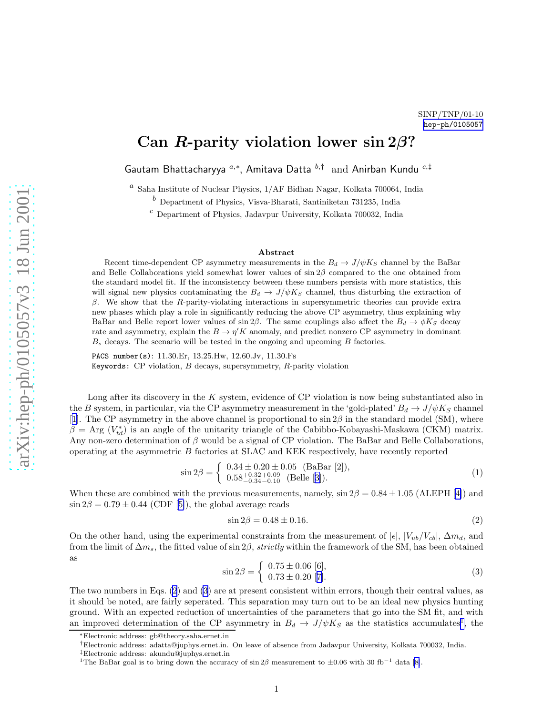## <span id="page-0-0"></span>Can R-parity violation lower  $\sin 2\beta$ ?

Gautam Bhattacharyya  $a,*,$  Amitava Datta  $b, \dagger$  and Anirban Kundu  $c, \dagger$ 

 $^a$ Saha Institute of Nuclear Physics,  $1/{\rm AF}$  Bidhan Nagar, Kolkata 700064, India

 $<sup>b</sup>$  Department of Physics, Visva-Bharati, Santiniketan 731235, India</sup>

 $c$  Department of Physics, Jadavpur University, Kolkata 700032, India

## Abstract

Recent time-dependent CP asymmetry measurements in the  $B_d \to J/\psi K_S$  channel by the BaBar and Belle Collaborations yield somewhat lower values of  $\sin 2\beta$  compared to the one obtained from the standard model fit. If the inconsistency between these numbers persists with more statistics, this will signal new physics contaminating the  $B_d \to J/\psi K_S$  channel, thus disturbing the extraction of β. We show that the R-parity-violating interactions in supersymmetric theories can provide extra new phases which play a role in significantly reducing the above CP asymmetry, thus explaining why BaBar and Belle report lower values of  $\sin 2\beta$ . The same couplings also affect the  $B_d \to \phi K_S$  decay rate and asymmetry, explain the  $B \to \eta' K$  anomaly, and predict nonzero CP asymmetry in dominant  $B<sub>s</sub>$  decays. The scenario will be tested in the ongoing and upcoming  $B$  factories.

PACS number(s): 11.30.Er, 13.25.Hw, 12.60.Jv, 11.30.Fs Keywords: CP violation,  $B$  decays, supersymmetry,  $R$ -parity violation

Long after its discovery in the K system, evidence of CP violation is now being substantiated also in the B system, in particular, via the CP asymmetry measurement in the 'gold-plated'  $B_d \to J/\psi K_S$  channel [[1\]](#page-7-0). The CP asymmetry in the above channel is proportional to  $\sin 2\beta$  in the standard model (SM), where  $\beta = \text{Arg}(V_{td}^*)$  is an angle of the unitarity triangle of the Cabibbo-Kobayashi-Maskawa (CKM) matrix. Any non-zero determination of  $\beta$  would be a signal of CP violation. The BaBar and Belle Collaborations, operating at the asymmetric B factories at SLAC and KEK respectively, have recently reported

$$
\sin 2\beta = \begin{cases} 0.34 \pm 0.20 \pm 0.05 \text{ (BaBar [2]),} \\ 0.58_{-0.34}^{+0.32+0.09} \text{ (Belle [3]).} \end{cases} (1)
$$

Whenthese are combined with the previous measurements, namely,  $\sin 2\beta = 0.84 \pm 1.05$  (ALEPH [[4\]](#page-7-0)) and  $\sin 2\beta = 0.79 \pm 0.44$  $\sin 2\beta = 0.79 \pm 0.44$  $\sin 2\beta = 0.79 \pm 0.44$  (CDF [[5\]](#page-7-0)), the global average reads

$$
\sin 2\beta = 0.48 \pm 0.16. \tag{2}
$$

On the other hand, using the experimental constraints from the measurement of  $|\epsilon|, |V_{ub}/V_{cb}|, \Delta m_d$ , and from the limit of  $\Delta m_s$ , the fitted value of sin 2 $\beta$ , *strictly* within the framework of the SM, has been obtained as

$$
\sin 2\beta = \begin{cases} 0.75 \pm 0.06 \text{ [6]}, \\ 0.73 \pm 0.20 \text{ [7]}. \end{cases} \tag{3}
$$

The two numbers in Eqs. (2) and (3) are at present consistent within errors, though their central values, as it should be noted, are fairly seperated. This separation may turn out to be an ideal new physics hunting ground. With an expected reduction of uncertainties of the parameters that go into the SM fit, and with an improved determination of the CP asymmetry in  $B_d \to J/\psi K_S$  as the statistics accumulates<sup>1</sup>, the

<sup>∗</sup>Electronic address: gb@theory.saha.ernet.in

<sup>†</sup>Electronic address: adatta@juphys.ernet.in. On leave of absence from Jadavpur University, Kolkata 700032, India.

<sup>&</sup>lt;sup>‡</sup>Electronic address: akundu@juphys.ernet.in<br><sup>1</sup>The BaBar goal is to bring down the accuracy of sin 2β measurement to ±0.06 with 30 fb<sup>-1</sup> data [\[8\]](#page-7-0).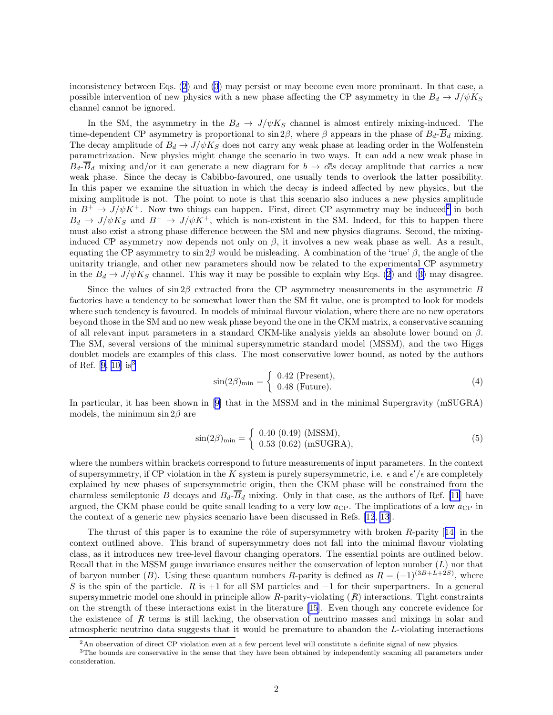<span id="page-1-0"></span>inconsistency between Eqs.([2\)](#page-0-0) and [\(3](#page-0-0)) may persist or may become even more prominant. In that case, a possible intervention of new physics with a new phase affecting the CP asymmetry in the  $B_d \to J/\psi K_S$ channel cannot be ignored.

In the SM, the asymmetry in the  $B_d \to J/\psi K_S$  channel is almost entirely mixing-induced. The time-dependent CP asymmetry is proportional to  $\sin 2\beta$ , where  $\beta$  appears in the phase of  $B_d$ - $\overline{B}_d$  mixing. The decay amplitude of  $B_d \to J/\psi K_S$  does not carry any weak phase at leading order in the Wolfenstein parametrization. New physics might change the scenario in two ways. It can add a new weak phase in  $B_d-\overline{B}_d$  mixing and/or it can generate a new diagram for  $b \to c\overline{c}s$  decay amplitude that carries a new weak phase. Since the decay is Cabibbo-favoured, one usually tends to overlook the latter possibility. In this paper we examine the situation in which the decay is indeed affected by new physics, but the mixing amplitude is not. The point to note is that this scenario also induces a new physics amplitude in  $B^+ \to J/\psi K^+$ . Now two things can happen. First, direct CP asymmetry may be induced<sup>2</sup> in both  $B_d \to J/\psi K_S$  and  $B^+ \to J/\psi K^+$ , which is non-existent in the SM. Indeed, for this to happen there must also exist a strong phase difference between the SM and new physics diagrams. Second, the mixinginduced CP asymmetry now depends not only on  $\beta$ , it involves a new weak phase as well. As a result, equating the CP asymmetry to  $\sin 2\beta$  would be misleading. A combination of the 'true'  $\beta$ , the angle of the unitarity triangle, and other new parameters should now be related to the experimental CP asymmetry inthe  $B_d \to J/\psi K_S$  channel. This way it may be possible to explain why Eqs. [\(2](#page-0-0)) and ([3\)](#page-0-0) may disagree.

Since the values of  $\sin 2\beta$  extracted from the CP asymmetry measurements in the asymmetric B factories have a tendency to be somewhat lower than the SM fit value, one is prompted to look for models where such tendency is favoured. In models of minimal flavour violation, where there are no new operators beyond those in the SM and no new weak phase beyond the one in the CKM matrix, a conservative scanning of all relevant input parameters in a standard CKM-like analysis yields an absolute lower bound on  $\beta$ . The SM, several versions of the minimal supersymmetric standard model (MSSM), and the two Higgs doublet models are examples of this class. The most conservative lower bound, as noted by the authors ofRef. [[9, 10](#page-7-0)] is<sup>3</sup>

$$
\sin(2\beta)_{\min} = \begin{cases} 0.42 \text{ (Present)},\\ 0.48 \text{ (Future)}. \end{cases} \tag{4}
$$

In particular, it has been shown in [\[9\]](#page-7-0) that in the MSSM and in the minimal Supergravity (mSUGRA) models, the minimum  $\sin 2\beta$  are

$$
\sin(2\beta)_{\min} = \begin{cases} 0.40 (0.49) (MSSM), \\ 0.53 (0.62) (mSUGRA), \end{cases}
$$
 (5)

where the numbers within brackets correspond to future measurements of input parameters. In the context of supersymmetry, if CP violation in the K system is purely supersymmetric, i.e.  $\epsilon$  and  $\epsilon'/\epsilon$  are completely explained by new phases of supersymmetric origin, then the CKM phase will be constrained from the charmless semileptonic B decays and  $B_d-\overline{B}_d$  mixing. Only in that case, as the authors of Ref. [\[11](#page-7-0)] have argued, the CKM phase could be quite small leading to a very low  $a_{\text{CP}}$ . The implications of a low  $a_{\text{CP}}$  in the context of a generic new physics scenario have been discussed in Refs. [\[12](#page-8-0), [13](#page-8-0)].

Thethrust of this paper is to examine the rôle of supersymmetry with broken  $R$ -parity [[14\]](#page-8-0) in the context outlined above. This brand of supersymmetry does not fall into the minimal flavour violating class, as it introduces new tree-level flavour changing operators. The essential points are outlined below. Recall that in the MSSM gauge invariance ensures neither the conservation of lepton number  $(L)$  nor that of baryon number (B). Using these quantum numbers R-parity is defined as  $R = (-1)^{(3B+L+2S)}$ , where S is the spin of the particle. R is +1 for all SM particles and  $-1$  for their superpartners. In a general supersymmetric model one should in principle allow R-parity-violating  $(R)$  interactions. Tight constraints on the strength of these interactions exist in the literature [\[15](#page-8-0)]. Even though any concrete evidence for the existence of  $\bar{R}$  terms is still lacking, the observation of neutrino masses and mixings in solar and atmospheric neutrino data suggests that it would be premature to abandon the L-violating interactions

 $^{2}$ An observation of direct CP violation even at a few percent level will constitute a definite signal of new physics.

<sup>&</sup>lt;sup>3</sup>The bounds are conservative in the sense that they have been obtained by independently scanning all parameters under consideration.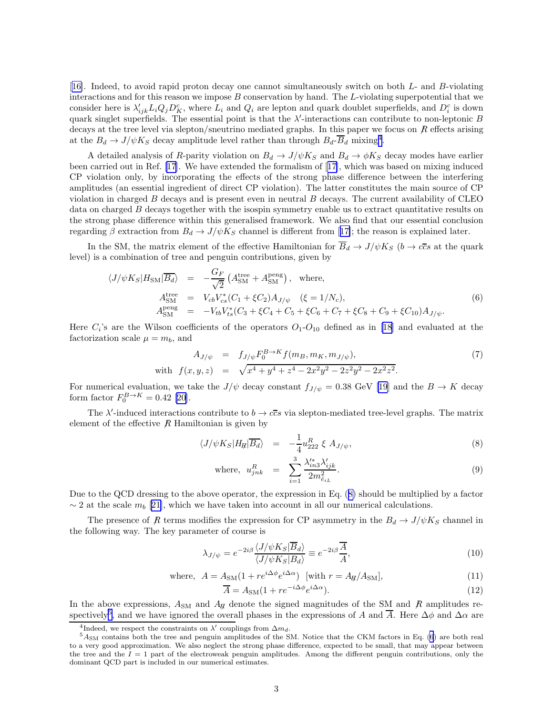<span id="page-2-0"></span>[[16\]](#page-8-0). Indeed, to avoid rapid proton decay one cannot simultaneously switch on both L- and B-violating interactions and for this reason we impose B conservation by hand. The L-violating superpotential that we consider here is  $\lambda'_{ijk}L_iQ_jD_K^c$ , where  $L_i$  and  $Q_i$  are lepton and quark doublet superfields, and  $D_i^c$  is down quark singlet superfields. The essential point is that the  $\lambda'$ -interactions can contribute to non-leptonic B decays at the tree level via slepton/sneutrino mediated graphs. In this paper we focus on  $R$  effects arising at the  $B_d \to J/\psi K_S$  decay amplitude level rather than through  $B_d$ - $\overline{B}_d$  mixing<sup>4</sup>.

A detailed analysis of R-parity violation on  $B_d \to J/\psi K_S$  and  $B_d \to \phi K_S$  decay modes have earlier been carried out in Ref.[[17\]](#page-8-0). We have extended the formalism of[[17\]](#page-8-0), which was based on mixing induced CP violation only, by incorporating the effects of the strong phase difference between the interfering amplitudes (an essential ingredient of direct CP violation). The latter constitutes the main source of CP violation in charged  $B$  decays and is present even in neutral  $B$  decays. The current availability of CLEO data on charged  $B$  decays together with the isospin symmetry enable us to extract quantitative results on the strong phase difference within this generalised framework. We also find that our essential conclusion regardingβ extraction from  $B_d \to J/\psi K_S$  channel is different from [[17\]](#page-8-0); the reason is explained later.

In the SM, the matrix element of the effective Hamiltonian for  $\overline{B}_d \to J/\psi K_S$  ( $b \to c\overline{c}s$  at the quark level) is a combination of tree and penguin contributions, given by

$$
\langle J/\psi K_S | H_{\rm SM} | \overline{B_d} \rangle = -\frac{G_F}{\sqrt{2}} \left( A_{\rm SM}^{\rm tree} + A_{\rm SM}^{\rm peng} \right), \text{ where,}
$$
  
\n
$$
A_{\rm SM}^{\rm tree} = V_{cb} V_{cs}^* (C_1 + \xi C_2) A_{J/\psi} \quad (\xi = 1/N_c),
$$
  
\n
$$
A_{\rm SM}^{\rm peng} = -V_{tb} V_{ts}^* (C_3 + \xi C_4 + C_5 + \xi C_6 + C_7 + \xi C_8 + C_9 + \xi C_{10}) A_{J/\psi}.
$$
\n(6)

Here  $C_i$ 's are the Wilson coefficients of the operators  $O_1$ - $O_{10}$  defined as in [\[18](#page-8-0)] and evaluated at the factorization scale  $\mu = m_b$ , and

$$
A_{J/\psi} = f_{J/\psi} F_0^{B \to K} f(m_B, m_K, m_{J/\psi}),
$$
  
with  $f(x, y, z) = \sqrt{x^4 + y^4 + z^4 - 2x^2y^2 - 2z^2y^2 - 2x^2z^2}.$  (7)

For numerical evaluation, we take the  $J/\psi$  decay constant  $f_{J/\psi} = 0.38$  GeV [\[19](#page-8-0)] and the  $B \to K$  decay formfactor  $F_0^{B \to K} = 0.42$  [[20\]](#page-8-0).

The  $\lambda'$ -induced interactions contribute to  $b \to c\bar{c}s$  via slepton-mediated tree-level graphs. The matrix element of the effective  $R$  Hamiltonian is given by

$$
\langle J/\psi K_S | H_{\mathcal{H}} | \overline{B_d} \rangle = -\frac{1}{4} u_{222}^R \xi A_{J/\psi}, \qquad (8)
$$

where, 
$$
u_{jnk}^R = \sum_{i=1}^3 \frac{\lambda_{in3}^{\prime *} \lambda_{ijk}^{\prime}}{2m_{\tilde{e}_{iL}}^2}
$$
. (9)

Due to the QCD dressing to the above operator, the expression in Eq. (8) should be multiplied by a factor  $\sim$  2 at the scale  $m_b$  [[21\]](#page-8-0), which we have taken into account in all our numerical calculations.

The presence of  $R$  terms modifies the expression for CP asymmetry in the  $B_d \to J/\psi K_S$  channel in the following way. The key parameter of course is

$$
\lambda_{J/\psi} = e^{-2i\beta} \frac{\langle J/\psi K_S | \overline{B}_d \rangle}{\langle J/\psi K_S | B_d \rangle} \equiv e^{-2i\beta} \frac{\overline{A}}{A},\tag{10}
$$

where, 
$$
A = A_{\text{SM}}(1 + re^{i\Delta\phi}e^{i\Delta\alpha})
$$
 [with  $r = A_{\text{H}}/A_{\text{SM}}]$ , (11)

$$
\overline{A} = A_{\rm SM}(1 + re^{-i\Delta\phi}e^{i\Delta\alpha}).\tag{12}
$$

In the above expressions,  $A_{SM}$  and  $A_{R}$  denote the signed magnitudes of the SM and  $R$  amplitudes respectively<sup>5</sup>, and we have ignored the overall phases in the expressions of A and  $\overline{A}$ . Here  $\Delta\phi$  and  $\Delta\alpha$  are

<sup>&</sup>lt;sup>4</sup>Indeed, we respect the constraints on  $\lambda'$  couplings from  $\Delta m_d$ .

 $5A<sub>SM</sub>$  contains both the tree and penguin amplitudes of the SM. Notice that the CKM factors in Eq. (6) are both real to a very good approximation. We also neglect the strong phase difference, expected to be small, that may appear between the tree and the  $I = 1$  part of the electroweak penguin amplitudes. Among the different penguin contributions, only the dominant QCD part is included in our numerical estimates.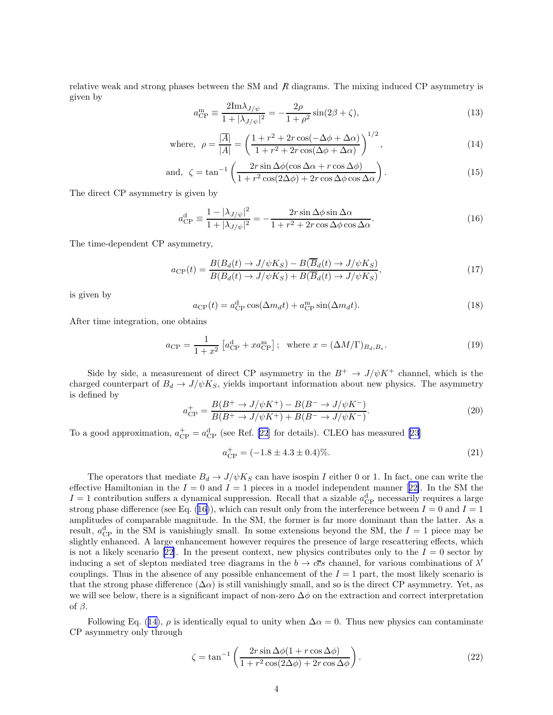<span id="page-3-0"></span>relative weak and strong phases between the SM and  $R$  diagrams. The mixing induced CP asymmetry is given by

$$
a_{\rm CP}^{\rm m} \equiv \frac{2\text{Im}\lambda_{J/\psi}}{1 + |\lambda_{J/\psi}|^2} = -\frac{2\rho}{1 + \rho^2} \sin(2\beta + \zeta),\tag{13}
$$

where, 
$$
\rho = \frac{|\overline{A}|}{|A|} = \left(\frac{1+r^2+2r\cos(-\Delta\phi+\Delta\alpha)}{1+r^2+2r\cos(\Delta\phi+\Delta\alpha)}\right)^{1/2},
$$
\n(14)

and, 
$$
\zeta = \tan^{-1}\left(\frac{2r\sin\Delta\phi(\cos\Delta\alpha + r\cos\Delta\phi)}{1 + r^2\cos(2\Delta\phi) + 2r\cos\Delta\phi\cos\Delta\alpha}\right).
$$
 (15)

The direct CP asymmetry is given by

$$
a_{\rm CP}^{\rm d} \equiv \frac{1 - |\lambda_{J/\psi}|^2}{1 + |\lambda_{J/\psi}|^2} = -\frac{2r \sin \Delta \phi \sin \Delta \alpha}{1 + r^2 + 2r \cos \Delta \phi \cos \Delta \alpha}.
$$
 (16)

The time-dependent CP asymmetry,

$$
a_{\rm CP}(t) = \frac{B(B_d(t) \to J/\psi K_S) - B(\overline{B}_d(t) \to J/\psi K_S)}{B(B_d(t) \to J/\psi K_S) + B(\overline{B}_d(t) \to J/\psi K_S)},\tag{17}
$$

is given by

$$
a_{\rm CP}(t) = a_{\rm CP}^{\rm d} \cos(\Delta m_d t) + a_{\rm CP}^{\rm m} \sin(\Delta m_d t). \tag{18}
$$

After time integration, one obtains

$$
a_{\rm CP} = \frac{1}{1+x^2} \left[ a_{\rm CP}^{\rm d} + x a_{\rm CP}^{\rm m} \right]; \text{ where } x = (\Delta M/\Gamma)_{B_d, B_s}.
$$
 (19)

Side by side, a measurement of direct CP asymmetry in the  $B^+ \to J/\psi K^+$  channel, which is the charged counterpart of  $B_d \to J/\psi K_S$ , yields important information about new physics. The asymmetry is defined by

$$
a_{\rm CP}^+ = \frac{B(B^+ \to J/\psi K^+) - B(B^- \to J/\psi K^-)}{B(B^+ \to J/\psi K^+) + B(B^- \to J/\psi K^-)}.
$$
\n(20)

To a good approximation,  $a_{\rm CP}^+ = a_{\rm CP}^{\rm d}$  (see Ref. [\[22](#page-8-0)] for details). CLEO has measured [\[23](#page-8-0)]

$$
a_{\rm CP}^+ = (-1.8 \pm 4.3 \pm 0.4)\%.\tag{21}
$$

The operators that mediate  $B_d \to J/\psi K_S$  can have isospin I either 0 or 1. In fact, one can write the effectiveHamiltonian in the  $I = 0$  and  $I = 1$  pieces in a model independent manner [[22\]](#page-8-0). In the SM the  $I = 1$  contribution suffers a dynamical suppression. Recall that a sizable  $a_{\text{CP}}^d$  necessarily requires a large strong phase difference (see Eq. (16)), which can result only from the interference between  $I = 0$  and  $I = 1$ amplitudes of comparable magnitude. In the SM, the former is far more dominant than the latter. As a result,  $a_{\text{CP}}^d$  in the SM is vanishingly small. In some extensions beyond the SM, the  $I = 1$  piece may be slightly enhanced. A large enhancement however requires the presence of large rescattering effects, which is not a likely scenario [\[22](#page-8-0)]. In the present context, new physics contributes only to the  $I = 0$  sector by inducing a set of slepton mediated tree diagrams in the  $b \to c\bar{c}s$  channel, for various combinations of  $\lambda'$ couplings. Thus in the absence of any possible enhancement of the  $I = 1$  part, the most likely scenario is that the strong phase difference  $(\Delta \alpha)$  is still vanishingly small, and so is the direct CP asymmetry. Yet, as we will see below, there is a significant impact of non-zero  $\Delta\phi$  on the extraction and correct interpretation of  $\beta$ .

Following Eq. (14),  $\rho$  is identically equal to unity when  $\Delta \alpha = 0$ . Thus new physics can contaminate CP asymmetry only through

$$
\zeta = \tan^{-1}\left(\frac{2r\sin\Delta\phi(1+r\cos\Delta\phi)}{1+r^2\cos(2\Delta\phi)+2r\cos\Delta\phi}\right). \tag{22}
$$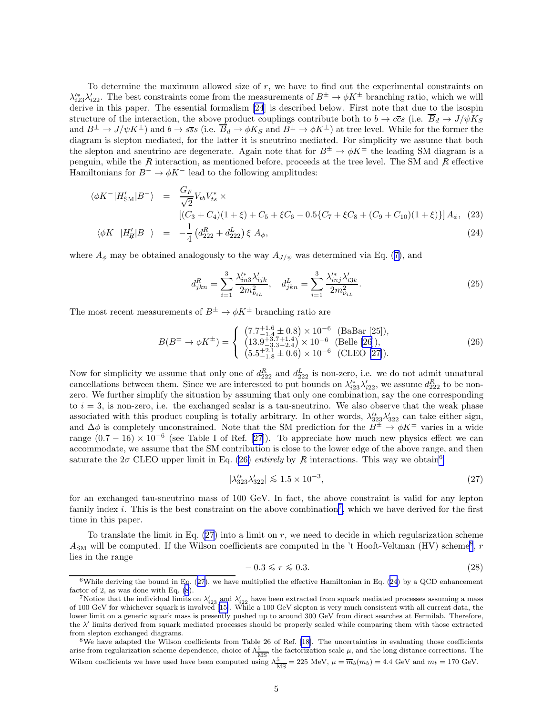<span id="page-4-0"></span>To determine the maximum allowed size of r, we have to find out the experimental constraints on  $\lambda'_{i23}\lambda'_{i22}$ . The best constraints come from the measurements of  $B^{\pm} \to \phi K^{\pm}$  branching ratio, which we will derive in this paper. The essential formalism [\[24](#page-8-0)] is described below. First note that due to the isospin structure of the interaction, the above product couplings contribute both to  $b \to c\bar{c}s$  (i.e.  $\bar{B}_d \to J/\psi K_S$ and  $B^{\pm} \to J/\psi K^{\pm}$ ) and  $b \to s\bar{s}s$  (i.e.  $\overline{B}_d \to \phi K_S$  and  $B^{\pm} \to \phi K^{\pm}$ ) at tree level. While for the former the diagram is slepton mediated, for the latter it is sneutrino mediated. For simplicity we assume that both the slepton and sneutrino are degenerate. Again note that for  $B^{\pm} \to \phi K^{\pm}$  the leading SM diagram is a penguin, while the  $R$  interaction, as mentioned before, proceeds at the tree level. The SM and  $R$  effective Hamiltonians for  $B^- \to \phi K^-$  lead to the following amplitudes:

$$
\langle \phi K^{-} | H'_{\rm SM} | B^{-} \rangle = \frac{G_F}{\sqrt{2}} V_{tb} V_{ts}^* \times
$$
  
\n
$$
[(C_3 + C_4)(1 + \xi) + C_5 + \xi C_6 - 0.5\{C_7 + \xi C_8 + (C_9 + C_{10})(1 + \xi)\}] A_{\phi}, (23)
$$

$$
\langle \phi K^- | H'_R | B^- \rangle = -\frac{1}{4} \left( d_{222}^R + d_{222}^L \right) \xi \ A_\phi, \tag{24}
$$

where $A_{\phi}$  may be obtained analogously to the way  $A_{J/\psi}$  was determined via Eq. ([7\)](#page-2-0), and

$$
d_{jkn}^R = \sum_{i=1}^3 \frac{\lambda_{in3}'^2 \lambda_{ijk}'}{2m_{\tilde{\nu}_{iL}}^2}, \quad d_{jkn}^L = \sum_{i=1}^3 \frac{\lambda_{inj}'^2 \lambda_{i3k}'}{2m_{\tilde{\nu}_{iL}}^2}.
$$
 (25)

The most recent measurements of  $B^{\pm} \to \phi K^{\pm}$  branching ratio are

$$
B(B^{\pm} \to \phi K^{\pm}) = \begin{cases} (7.7^{+1.6}_{-1.4} \pm 0.8) \times 10^{-6} & \text{(BaBar [25])},\\ (13.9^{+3.7}_{-3.3} \text{--} 2.4) \times 10^{-6} & \text{(Belle [26])},\\ (5.5^{+2.1}_{-1.8} \pm 0.6) \times 10^{-6} & \text{(CLEO [27])}. \end{cases} (26)
$$

Now for simplicity we assume that only one of  $d_{222}^R$  and  $d_{222}^L$  is non-zero, i.e. we do not admit unnatural cancellations between them. Since we are interested to put bounds on  $\lambda'_{i23}\lambda'_{i22}$ , we assume  $d_{222}^R$  to be nonzero. We further simplify the situation by assuming that only one combination, say the one corresponding to  $i = 3$ , is non-zero, i.e. the exchanged scalar is a tau-sneutrino. We also observe that the weak phase associated with this product coupling is totally arbitrary. In other words,  $\lambda'_{323}\lambda'_{322}$  can take either sign, and  $\Delta\phi$  is completely unconstrained. Note that the SM prediction for the  $B^{\pm} \to \phi K^{\pm}$  varies in a wide range $(0.7 - 16) \times 10^{-6}$  (see Table I of Ref. [[27\]](#page-8-0)). To appreciate how much new physics effect we can accommodate, we assume that the SM contribution is close to the lower edge of the above range, and then saturate the  $2\sigma$  CLEO upper limit in Eq. (26) *entirely* by R interactions. This way we obtain<sup>6</sup>

$$
|\lambda_{323}^{\prime*}\lambda_{322}^{\prime}| \lesssim 1.5 \times 10^{-3},\tag{27}
$$

for an exchanged tau-sneutrino mass of 100 GeV. In fact, the above constraint is valid for any lepton family index *i*. This is the best constraint on the above combination<sup>7</sup>, which we have derived for the first time in this paper.

To translate the limit in Eq.  $(27)$  into a limit on r, we need to decide in which regularization scheme  $A_{\text{SM}}$  will be computed. If the Wilson coefficients are computed in the 't Hooft-Veltman (HV) scheme<sup>8</sup>, r lies in the range

$$
-0.3 \le r \le 0.3. \tag{28}
$$

<sup>&</sup>lt;sup>6</sup>While deriving the bound in Eq.  $(27)$ , we have multiplied the effective Hamiltonian in Eq.  $(24)$  by a QCD enhancement factor of 2, as was done with Eq. [\(8](#page-2-0)).

<sup>&</sup>lt;sup>7</sup>Notice that the individual limits on  $\lambda'_{i23}$  and  $\lambda'_{i22}$  have been extracted from squark mediated processes assuming a mass of 100 GeV for whichever squark is involved [\[15\]](#page-8-0). While a 100 GeV slepton is very much c lower limit on a generic squark mass is presently pushed up to around 300 GeV from direct searches at Fermilab. Therefore, the λ ′ limits derived from squark mediated processes should be properly scaled while comparing them with those extracted from slepton exchanged diagrams.

<sup>&</sup>lt;sup>8</sup>We have adapted the Wilson coefficients from Table 26 of Ref. [\[18\]](#page-8-0). The uncertainties in evaluating those coefficients arise from regularization scheme dependence, choice of  $\Lambda_{\overline{MS}}^5$ , the factorization scale  $\mu$ , and the long distance corrections. The Wilson coefficients we have used have been computed using  $\Lambda_{\overline{\rm MS}}^5 = 225$  MeV,  $\mu = \overline{m}_b(m_b) = 4.4$  GeV and  $m_t = 170$  GeV.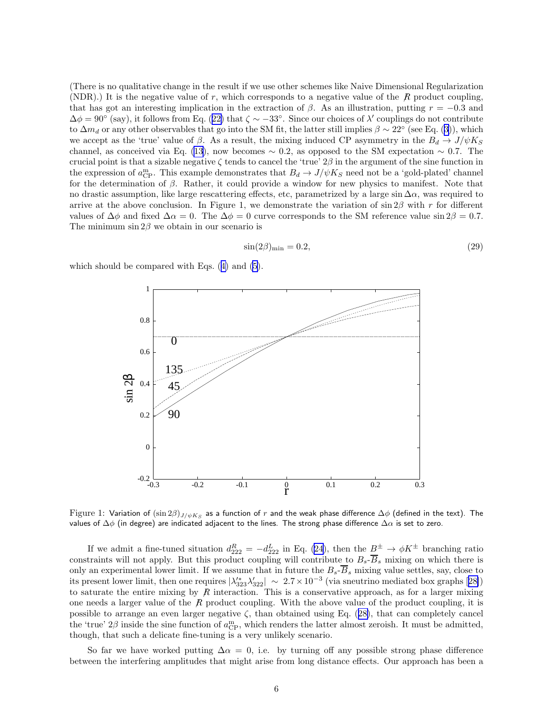(There is no qualitative change in the result if we use other schemes like Naive Dimensional Regularization (NDR).) It is the negative value of r, which corresponds to a negative value of the  $R$  product coupling, that has got an interesting implication in the extraction of  $\beta$ . As an illustration, putting  $r = -0.3$  and  $\Delta \phi = 90^{\circ}$  $\Delta \phi = 90^{\circ}$  $\Delta \phi = 90^{\circ}$  (say), it follows from Eq. ([22\)](#page-3-0) that  $\zeta \sim -33^{\circ}$ . Since our choices of  $\lambda'$  couplings do not contribute to $\Delta m_d$  or any other observables that go into the SM fit, the latter still implies  $\beta \sim 22^{\circ}$  (see Eq. ([3\)](#page-0-0)), which we accept as the 'true' value of  $\beta$ . As a result, the mixing induced CP asymmetry in the  $B_d \to J/\psi K_S$ channel,as conceived via Eq. ([13\)](#page-3-0), now becomes  $\sim 0.2$ , as opposed to the SM expectation  $\sim 0.7$ . The crucial point is that a sizable negative  $\zeta$  tends to cancel the 'true'  $2\beta$  in the argument of the sine function in the expression of  $a_{\text{CP}}^{\text{m}}$ . This example demonstrates that  $B_d \to J/\psi K_S$  need not be a 'gold-plated' channel for the determination of  $\beta$ . Rather, it could provide a window for new physics to manifest. Note that no drastic assumption, like large rescattering effects, etc, parametrized by a large sin  $\Delta \alpha$ , was required to arrive at the above conclusion. In Figure 1, we demonstrate the variation of  $\sin 2\beta$  with r for different values of  $\Delta\phi$  and fixed  $\Delta\alpha = 0$ . The  $\Delta\phi = 0$  curve corresponds to the SM reference value sin  $2\beta = 0.7$ . The minimum  $\sin 2\beta$  we obtain in our scenario is

$$
\sin(2\beta)_{\text{min}} = 0.2,\tag{29}
$$

which should be compared with Eqs.([4\)](#page-1-0) and [\(5](#page-1-0)).



 ${\rm Figure~1:}$  Variation of  $(\sin2\beta)_{J/\psi K_S}$  as a function of  $r$  and the weak phase difference  $\Delta\phi$  (defined in the text). The values of  $\Delta\phi$  (in degree) are indicated adjacent to the lines. The strong phase difference  $\Delta\alpha$  is set to zero.

If we admit a fine-tuned situation  $d_{222}^R = -d_{222}^L$  in Eq. [\(24](#page-4-0)), then the  $\underline{B}^{\pm} \to \phi K^{\pm}$  branching ratio constraints will not apply. But this product coupling will contribute to  $B_s - B_s$  mixing on which there is only an experimental lower limit. If we assume that in future the  $B_s$ - $\overline{B}_s$  mixing value settles, say, close to itspresent lower limit, then one requires  $|\lambda_{323}'\lambda_{322}'| \sim 2.7 \times 10^{-3}$  (via sneutrino mediated box graphs [[28\]](#page-8-0)) to saturate the entire mixing by  $R$  interaction. This is a conservative approach, as for a larger mixing one needs a larger value of the  $\mathcal{R}$  product coupling. With the above value of the product coupling, it is possibleto arrange an even larger negative  $\zeta$ , than obtained using Eq. ([28\)](#page-4-0), that can completely cancel the 'true'  $2\beta$  inside the sine function of  $a_{\text{CP}}^{\text{m}}$ , which renders the latter almost zeroish. It must be admitted, though, that such a delicate fine-tuning is a very unlikely scenario.

So far we have worked putting  $\Delta \alpha = 0$ , i.e. by turning off any possible strong phase difference between the interfering amplitudes that might arise from long distance effects. Our approach has been a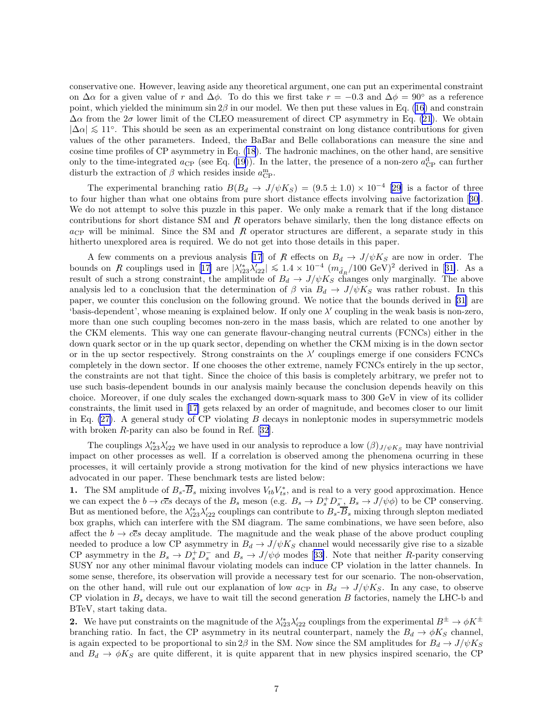conservative one. However, leaving aside any theoretical argument, one can put an experimental constraint on  $\Delta \alpha$  for a given value of r and  $\Delta \phi$ . To do this we first take  $r = -0.3$  and  $\Delta \phi = 90^{\circ}$  as a reference point,which yielded the minimum  $\sin 2\beta$  in our model. We then put these values in Eq. ([16\)](#page-3-0) and constrain  $\Delta\alpha$  from the  $2\sigma$  lower limit of the CLEO measurement of direct CP asymmetry in Eq. [\(21](#page-3-0)). We obtain  $|\Delta \alpha| \leq 11^{\circ}$ . This should be seen as an experimental constraint on long distance contributions for given values of the other parameters. Indeed, the BaBar and Belle collaborations can measure the sine and cosine time profiles of CP asymmetry in Eq. [\(18](#page-3-0)). The hadronic machines, on the other hand, are sensitive onlyto the time-integrated  $a_{\text{CP}}$  (see Eq. ([19](#page-3-0))). In the latter, the presence of a non-zero  $a_{\text{CP}}^d$  can further disturb the extraction of  $\beta$  which resides inside  $a_{\rm CP}^{\rm m}$ .

The experimental branching ratio  $B(B_d \to J/\psi K_S) = (9.5 \pm 1.0) \times 10^{-4}$  [\[29](#page-8-0)] is a factor of three to four higher than what one obtains from pure short distance effects involving naive factorization[[30\]](#page-8-0). We do not attempt to solve this puzzle in this paper. We only make a remark that if the long distance contributions for short distance SM and  $R$  operators behave similarly, then the long distance effects on  $a_{\text{CP}}$  will be minimal. Since the SM and R operator structures are different, a separate study in this hitherto unexplored area is required. We do not get into those details in this paper.

A few comments on a previous analysis [\[17](#page-8-0)] of R effects on  $B_d \to J/\psi K_S$  are now in order. The boundson R couplings used in [[17\]](#page-8-0) are  $|\lambda_{i23}^{'}\lambda_{i22}^{'}| \leq 1.4 \times 10^{-4} (m_{\tilde{d}_R}/100 \text{ GeV})^2$  derived in [[31\]](#page-8-0). As a result of such a strong constraint, the amplitude of  $B_d \to J/\psi K_S$  changes only marginally. The above analysis led to a conclusion that the determination of  $\beta$  via  $B_d \to J/\psi K_S$  was rather robust. In this paper, we counter this conclusion on the following ground. We notice that the bounds derived in[[31\]](#page-8-0) are 'basis-dependent', whose meaning is explained below. If only one  $\lambda'$  coupling in the weak basis is non-zero, more than one such coupling becomes non-zero in the mass basis, which are related to one another by the CKM elements. This way one can generate flavour-changing neutral currents (FCNCs) either in the down quark sector or in the up quark sector, depending on whether the CKM mixing is in the down sector or in the up sector respectively. Strong constraints on the  $\lambda'$  couplings emerge if one considers FCNCs completely in the down sector. If one chooses the other extreme, namely FCNCs entirely in the up sector, the constraints are not that tight. Since the choice of this basis is completely arbitrary, we prefer not to use such basis-dependent bounds in our analysis mainly because the conclusion depends heavily on this choice. Moreover, if one duly scales the exchanged down-squark mass to 300 GeV in view of its collider constraints, the limit used in[[17\]](#page-8-0) gets relaxed by an order of magnitude, and becomes closer to our limit in Eq.  $(27)$ . A general study of CP violating B decays in nonleptonic modes in supersymmetric models withbroken  $R$ -parity can also be found in Ref. [[32\]](#page-8-0).

The couplings  $\lambda'_{i23}\lambda'_{i22}$  we have used in our analysis to reproduce a low  $(\beta)_{J/\psi K_S}$  may have nontrivial impact on other processes as well. If a correlation is observed among the phenomena ocurring in these processes, it will certainly provide a strong motivation for the kind of new physics interactions we have advocated in our paper. These benchmark tests are listed below:

**1.** The SM amplitude of  $B_s - \overline{B}_s$  mixing involves  $V_{tb}V_{ts}^*$ , and is real to a very good approximation. Hence we can expect the  $b \to c\overline{c}s$  decays of the  $B_s$  meson (e.g.  $B_s \to D_s^+ D_s^-$ ,  $B_s \to J/\psi \phi$ ) to be CP conserving. But as mentioned before, the  $\lambda'_{i23}\lambda'_{i22}$  couplings can contribute to  $B_s$ - $\overline{B}_s$  mixing through slepton mediated box graphs, which can interfere with the SM diagram. The same combinations, we have seen before, also affect the  $b \to c\bar{c}s$  decay amplitude. The magnitude and the weak phase of the above product coupling needed to produce a low CP asymmetry in  $B_d \to J/\psi K_S$  channel would necessarily give rise to a sizable CPasymmetry in the  $B_s \to D_s^+ D_s^-$  and  $B_s \to J/\psi \phi$  modes [[33\]](#page-8-0). Note that neither R-parity conserving SUSY nor any other minimal flavour violating models can induce CP violation in the latter channels. In some sense, therefore, its observation will provide a necessary test for our scenario. The non-observation, on the other hand, will rule out our explanation of low  $a_{\text{CP}}$  in  $B_d \rightarrow J/\psi K_S$ . In any case, to observe CP violation in  $B_s$  decays, we have to wait till the second generation B factories, namely the LHC-b and BTeV, start taking data.

2. We have put constraints on the magnitude of the  $\lambda'_{i23}\lambda'_{i22}$  couplings from the experimental  $B^{\pm} \to \phi K^{\pm}$ branching ratio. In fact, the CP asymmetry in its neutral counterpart, namely the  $B_d \to \phi K_S$  channel, is again expected to be proportional to  $\sin 2\beta$  in the SM. Now since the SM amplitudes for  $B_d \rightarrow J/\psi K_S$ and  $B_d \to \phi K_S$  are quite different, it is quite apparent that in new physics inspired scenario, the CP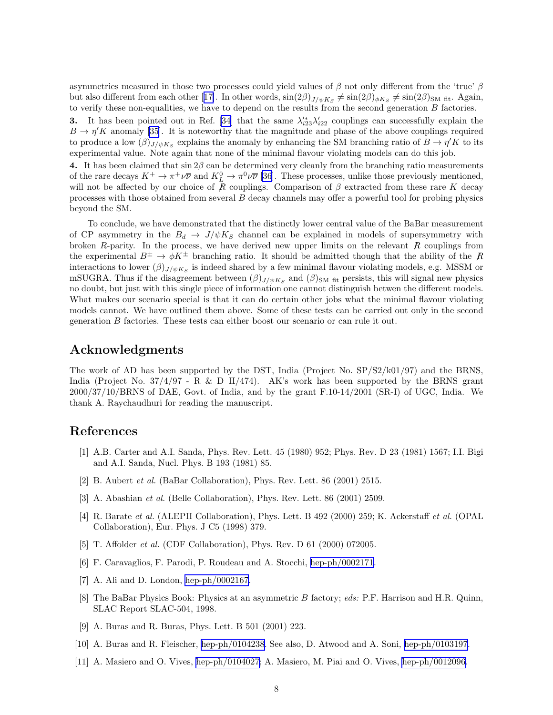<span id="page-7-0"></span>asymmetries measured in those two processes could yield values of  $\beta$  not only different from the 'true'  $\beta$ butalso different from each other [[17\]](#page-8-0). In other words,  $\sin(2\beta)_{J/\psi K_S} \neq \sin(2\beta)_{\phi K_S} \neq \sin(2\beta)_{\text{SM-fit}}$ . Again, to verify these non-equalities, we have to depend on the results from the second generation B factories.

3. It has been pointed out in Ref. [\[34](#page-8-0)] that the same  $\lambda'_{i23}\lambda'_{i22}$  couplings can successfully explain the  $B \to \eta' K$  $B \to \eta' K$  $B \to \eta' K$  anomaly [[35\]](#page-8-0). It is noteworthy that the magnitude and phase of the above couplings required to produce a low  $(\beta)_{J/\psi K_S}$  explains the anomaly by enhancing the SM branching ratio of  $B \to \eta' K$  to its experimental value. Note again that none of the minimal flavour violating models can do this job.

4. It has been claimed that  $\sin 2\beta$  can be determined very cleanly from the branching ratio measurements of the rare decays  $K^+ \to \pi^+ \nu \overline{\nu}$  and  $K^0_L \to \pi^0 \nu \overline{\nu}$  [\[36](#page-8-0)]. These processes, unlike those previously mentioned, will not be affected by our choice of R couplings. Comparison of  $\beta$  extracted from these rare K decay processes with those obtained from several  $B$  decay channels may offer a powerful tool for probing physics beyond the SM.

To conclude, we have demonstrated that the distinctly lower central value of the BaBar measurement of CP asymmetry in the  $B_d \rightarrow J/\psi K_S$  channel can be explained in models of supersymmetry with broken R-parity. In the process, we have derived new upper limits on the relevant  $R$  couplings from the experimental  $B^{\pm} \to \phi K^{\pm}$  branching ratio. It should be admitted though that the ability of the R interactions to lower  $(\beta)_{J/\psi K_S}$  is indeed shared by a few minimal flavour violating models, e.g. MSSM or mSUGRA. Thus if the disagreement between  $(\beta)_{J/\psi K_S}$  and  $(\beta)_{\text{SM fit}}$  persists, this will signal new physics no doubt, but just with this single piece of information one cannot distinguish betwen the different models. What makes our scenario special is that it can do certain other jobs what the minimal flavour violating models cannot. We have outlined them above. Some of these tests can be carried out only in the second generation B factories. These tests can either boost our scenario or can rule it out.

## Acknowledgments

The work of AD has been supported by the DST, India (Project No. SP/S2/k01/97) and the BRNS, India (Project No.  $37/4/97$  - R & D II/474). AK's work has been supported by the BRNS grant 2000/37/10/BRNS of DAE, Govt. of India, and by the grant F.10-14/2001 (SR-I) of UGC, India. We thank A. Raychaudhuri for reading the manuscript.

## References

- [1] A.B. Carter and A.I. Sanda, Phys. Rev. Lett. 45 (1980) 952; Phys. Rev. D 23 (1981) 1567; I.I. Bigi and A.I. Sanda, Nucl. Phys. B 193 (1981) 85.
- [2] B. Aubert *et al.* (BaBar Collaboration), Phys. Rev. Lett. 86 (2001) 2515.
- [3] A. Abashian *et al.* (Belle Collaboration), Phys. Rev. Lett. 86 (2001) 2509.
- [4] R. Barate *et al.* (ALEPH Collaboration), Phys. Lett. B 492 (2000) 259; K. Ackerstaff *et al.* (OPAL Collaboration), Eur. Phys. J C5 (1998) 379.
- [5] T. Affolder *et al.* (CDF Collaboration), Phys. Rev. D 61 (2000) 072005.
- [6] F. Caravaglios, F. Parodi, P. Roudeau and A. Stocchi, [hep-ph/0002171.](http://arxiv.org/abs/hep-ph/0002171)
- [7] A. Ali and D. London, [hep-ph/0002167](http://arxiv.org/abs/hep-ph/0002167).
- [8] The BaBar Physics Book: Physics at an asymmetric B factory; *eds:* P.F. Harrison and H.R. Quinn, SLAC Report SLAC-504, 1998.
- [9] A. Buras and R. Buras, Phys. Lett. B 501 (2001) 223.
- [10] A. Buras and R. Fleischer, [hep-ph/0104238](http://arxiv.org/abs/hep-ph/0104238). See also, D. Atwood and A. Soni, [hep-ph/0103197.](http://arxiv.org/abs/hep-ph/0103197)
- [11] A. Masiero and O. Vives, [hep-ph/0104027](http://arxiv.org/abs/hep-ph/0104027); A. Masiero, M. Piai and O. Vives, [hep-ph/0012096.](http://arxiv.org/abs/hep-ph/0012096)